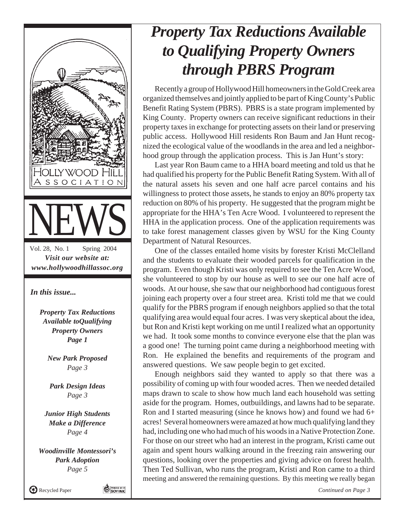

#### *Property Tax Reductions Available to Qualifying Property Owners through PBRS Program*

Recently a group of Hollywood Hill homeowners in the Gold Creek area organized themselves and jointly applied to be part of King County's Public Benefit Rating System (PBRS). PBRS is a state program implemented by King County. Property owners can receive significant reductions in their property taxes in exchange for protecting assets on their land or preserving public access. Hollywood Hill residents Ron Baum and Jan Hunt recognized the ecological value of the woodlands in the area and led a neighborhood group through the application process. This is Jan Hunt's story:

Last year Ron Baum came to a HHA board meeting and told us that he had qualified his property for the Public Benefit Rating System. With all of the natural assets his seven and one half acre parcel contains and his willingness to protect those assets, he stands to enjoy an 80% property tax reduction on 80% of his property. He suggested that the program might be appropriate for the HHA's Ten Acre Wood. I volunteered to represent the HHA in the application process. One of the application requirements was to take forest management classes given by WSU for the King County Department of Natural Resources.

One of the classes entailed home visits by forester Kristi McClelland and the students to evaluate their wooded parcels for qualification in the program. Even though Kristi was only required to see the Ten Acre Wood, she volunteered to stop by our house as well to see our one half acre of woods. At our house, she saw that our neighborhood had contiguous forest joining each property over a four street area. Kristi told me that we could qualify for the PBRS program if enough neighbors applied so that the total qualifying area would equal four acres. I was very skeptical about the idea, but Ron and Kristi kept working on me until I realized what an opportunity we had. It took some months to convince everyone else that the plan was a good one! The turning point came during a neighborhood meeting with Ron. He explained the benefits and requirements of the program and answered questions. We saw people begin to get excited.

Enough neighbors said they wanted to apply so that there was a possibility of coming up with four wooded acres. Then we needed detailed maps drawn to scale to show how much land each household was setting aside for the program. Homes, outbuildings, and lawns had to be separate. Ron and I started measuring (since he knows how) and found we had 6+ acres! Several homeowners were amazed at how much qualifying land they had, including one who had much of his woods in a Native Protection Zone. For those on our street who had an interest in the program, Kristi came out again and spent hours walking around in the freezing rain answering our questions, looking over the properties and giving advice on forest health. Then Ted Sullivan, who runs the program, Kristi and Ron came to a third meeting and answered the remaining questions. By this meeting we really began

*Continued on Page 3*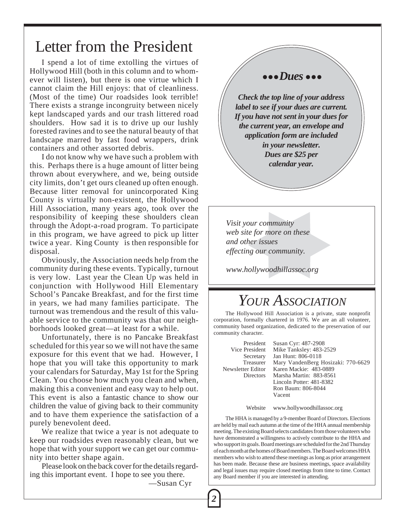#### Letter from the President

I spend a lot of time extolling the virtues of Hollywood Hill (both in this column and to whomever will listen), but there is one virtue which I cannot claim the Hill enjoys: that of cleanliness. (Most of the time) Our roadsides look terrible! There exists a strange incongruity between nicely kept landscaped yards and our trash littered road shoulders. How sad it is to drive up our lushly forested ravines and to see the natural beauty of that landscape marred by fast food wrappers, drink containers and other assorted debris.

I do not know why we have such a problem with this. Perhaps there is a huge amount of litter being thrown about everywhere, and we, being outside city limits, don't get ours cleaned up often enough. Because litter removal for unincorporated King County is virtually non-existent, the Hollywood Hill Association, many years ago, took over the responsibility of keeping these shoulders clean through the Adopt-a-road program. To participate in this program, we have agreed to pick up litter twice a year. King County is then responsible for disposal.

Obviously, the Association needs help from the community during these events. Typically, turnout is very low. Last year the Clean Up was held in conjunction with Hollywood Hill Elementary School's Pancake Breakfast, and for the first time in years, we had many families participate. The turnout was tremendous and the result of this valuable service to the community was that our neighborhoods looked great—at least for a while.

Unfortunately, there is no Pancake Breakfast scheduled for this year so we will not have the same exposure for this event that we had. However, I hope that you will take this opportunity to mark your calendars for Saturday, May 1st for the Spring Clean. You choose how much you clean and when, making this a convenient and easy way to help out. This event is also a fantastic chance to show our children the value of giving back to their community and to have them experience the satisfaction of a purely benevolent deed.

We realize that twice a year is not adequate to keep our roadsides even reasonably clean, but we hope that with your support we can get our community into better shape again.

Please look on the back cover for the details regarding this important event. I hope to see you there.

—Susan Cyr

*2*

#### ● ● ● *Dues* ● ● ●

*Check the top line of your address label to see if your dues are current. If you have not sent in your dues for the current year, an envelope and application form are included in your newsletter. Dues are \$25 per calendar year.*

*Visit your community web site for more on these and other issues effecting our community.*

*www.hollywoodhillassoc.org*

#### *YOUR ASSOCIATION*

The Hollywood Hill Association is a private, state nonprofit corporation, formally chartered in 1976. We are an all volunteer, community based organization, dedicated to the preservation of our community character.

President Susan Cyr: 487-2908 Vice President Mike Tanksley: 483-2529<br>Secretary Jan Hunt: 806-0118 Secretary Jan Hunt: 806-0118<br>Treasurer Mary VandenBerg I Mary VandenBerg Hosizaki: 770-6629 Newsletter Editor Karen Mackie: 483-0889 Directors Marsha Martin: 883-8561 Lincoln Potter: 481-8382 Ron Baum: 806-8044 Vacent

Website www.hollywoodhillassoc.org

The HHA is managed by a 9-member Board of Directors. Elections are held by mail each autumn at the time of the HHA annual membership meeting. The existing Board selects candidates from those volunteers who have demonstrated a willingness to actively contribute to the HHA and who support its goals. Board meetings are scheduled for the 2nd Thursday of each month at the homes of Board members. The Board welcomes HHA members who wish to attend these meetings as long as prior arrangement has been made. Because these are business meetings, space availability and legal issues may require closed meetings from time to time. Contact any Board member if you are interested in attending.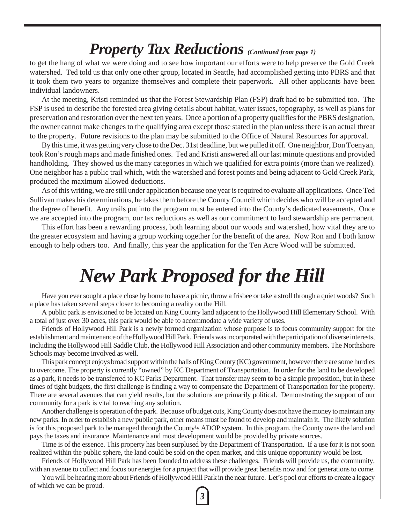#### *Property Tax Reductions (Continued from page 1)*

to get the hang of what we were doing and to see how important our efforts were to help preserve the Gold Creek watershed. Ted told us that only one other group, located in Seattle, had accomplished getting into PBRS and that it took them two years to organize themselves and complete their paperwork. All other applicants have been individual landowners.

At the meeting, Kristi reminded us that the Forest Stewardship Plan (FSP) draft had to be submitted too. The FSP is used to describe the forested area giving details about habitat, water issues, topography, as well as plans for preservation and restoration over the next ten years. Once a portion of a property qualifies for the PBRS designation, the owner cannot make changes to the qualifying area except those stated in the plan unless there is an actual threat to the property. Future revisions to the plan may be submitted to the Office of Natural Resources for approval.

By this time, it was getting very close to the Dec. 31st deadline, but we pulled it off. One neighbor, Don Toenyan, took Ron's rough maps and made finished ones. Ted and Kristi answered all our last minute questions and provided handholding. They showed us the many categories in which we qualified for extra points (more than we realized). One neighbor has a public trail which, with the watershed and forest points and being adjacent to Gold Creek Park, produced the maximum allowed deductions.

As of this writing, we are still under application because one year is required to evaluate all applications. Once Ted Sullivan makes his determinations, he takes them before the County Council which decides who will be accepted and the degree of benefit. Any trails put into the program must be entered into the County's dedicated easements. Once we are accepted into the program, our tax reductions as well as our commitment to land stewardship are permanent.

This effort has been a rewarding process, both learning about our woods and watershed, how vital they are to the greater ecosystem and having a group working together for the benefit of the area. Now Ron and I both know enough to help others too. And finally, this year the application for the Ten Acre Wood will be submitted.

## *New Park Proposed for the Hill*

Have you ever sought a place close by home to have a picnic, throw a frisbee or take a stroll through a quiet woods? Such a place has taken several steps closer to becoming a reality on the Hill.

A public park is envisioned to be located on King County land adjacent to the Hollywood Hill Elementary School. With a total of just over 30 acres, this park would be able to accommodate a wide variety of uses.

Friends of Hollywood Hill Park is a newly formed organization whose purpose is to focus community support for the establishment and maintenance of the Hollywood Hill Park. Friends was incorporated with the participation of diverse interests, including the Hollywood Hill Saddle Club, the Hollywood Hill Association and other community members. The Northshore Schools may become involved as well.

This park concept enjoys broad support within the halls of King County (KC) government, however there are some hurdles to overcome. The property is currently "owned" by KC Department of Transportation. In order for the land to be developed as a park, it needs to be transferred to KC Parks Department. That transfer may seem to be a simple proposition, but in these times of tight budgets, the first challenge is finding a way to compensate the Department of Transportation for the property. There are several avenues that can yield results, but the solutions are primarily political. Demonstrating the support of our community for a park is vital to reaching any solution.

Another challenge is operation of the park. Because of budget cuts, King County does not have the money to maintain any new parks. In order to establish a new public park, other means must be found to develop and maintain it. The likely solution is for this proposed park to be managed through the County's ADOP system. In this program, the County owns the land and pays the taxes and insurance. Maintenance and most development would be provided by private sources.

Time is of the essence. This property has been surplused by the Department of Transportation. If a use for it is not soon realized within the public sphere, the land could be sold on the open market, and this unique opportunity would be lost.

Friends of Hollywood Hill Park has been founded to address these challenges. Friends will provide us, the community, with an avenue to collect and focus our energies for a project that will provide great benefits now and for generations to come.

You will be hearing more about Friends of Hollywood Hill Park in the near future. Let's pool our efforts to create a legacy of which we can be proud.

*3*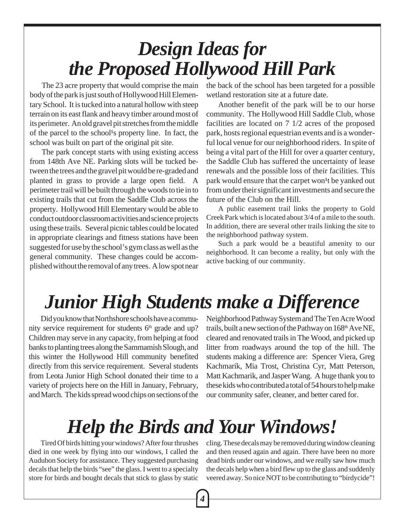## *Design Ideas for the Proposed Hollywood Hill Park*

The 23 acre property that would comprise the main body of the park is just south of Hollywood Hill Elementary School. It is tucked into a natural hollow with steep terrain on its east flank and heavy timber around most of its perimeter. An old gravel pit stretches from the middle of the parcel to the school<sup>1</sup>s property line. In fact, the school was built on part of the original pit site.

The park concept starts with using existing access from 148th Ave NE. Parking slots will be tucked between the trees and the gravel pit would be re-graded and planted in grass to provide a large open field. A perimeter trail will be built through the woods to tie in to existing trails that cut from the Saddle Club across the property. Hollywood Hill Elementary would be able to conduct outdoor classroom activities and science projects using these trails. Several picnic tables could be located in appropriate clearings and fitness stations have been suggested for use by the school's gym class as well as the general community. These changes could be accomplished without the removal of any trees. A low spot near the back of the school has been targeted for a possible wetland restoration site at a future date.

Another benefit of the park will be to our horse community. The Hollywood Hill Saddle Club, whose facilities are located on 7 1/2 acres of the proposed park, hosts regional equestrian events and is a wonderful local venue for our neighborhood riders. In spite of being a vital part of the Hill for over a quarter century, the Saddle Club has suffered the uncertainty of lease renewals and the possible loss of their facilities. This park would ensure that the carpet won<sup>1</sup>t be yanked out from under their significant investments and secure the future of the Club on the Hill.

A public easement trail links the property to Gold Creek Park which is located about 3/4 of a mile to the south. In addition, there are several other trails linking the site to the neighborhood pathway system.

Such a park would be a beautiful amenity to our neighborhood. It can become a reality, but only with the active backing of our community.

# *Junior High Students make a Difference*

Did you know that Northshore schools have a community service requirement for students  $6<sup>th</sup>$  grade and up? Children may serve in any capacity, from helping at food banks to planting trees along the Sammamish Slough, and this winter the Hollywood Hill community benefited directly from this service requirement. Several students from Leota Junior High School donated their time to a variety of projects here on the Hill in January, February, and March. The kids spread wood chips on sections of the

Neighborhood Pathway System and The Ten Acre Wood trails, built a new section of the Pathway on 168th Ave NE, cleared and renovated trails in The Wood, and picked up litter from roadways around the top of the hill. The students making a difference are: Spencer Viera, Greg Kachmarik, Mia Trost, Christina Cyr, Matt Peterson, Matt Kachmarik, and Jasper Wang. A huge thank you to these kids who contributed a total of 54 hours to help make our community safer, cleaner, and better cared for.

## *Help the Birds and Your Windows!*

Tired Of birds hitting your windows? After four thrushes died in one week by flying into our windows, I called the Audubon Society for assistance. They suggested purchasing decals that help the birds "see" the glass. I went to a specialty store for birds and bought decals that stick to glass by static cling. These decals may be removed during window cleaning and then reused again and again. There have been no more dead birds under our windows, and we really saw how much the decals help when a bird flew up to the glass and suddenly veered away. So nice NOT to be contributing to "birdycide"!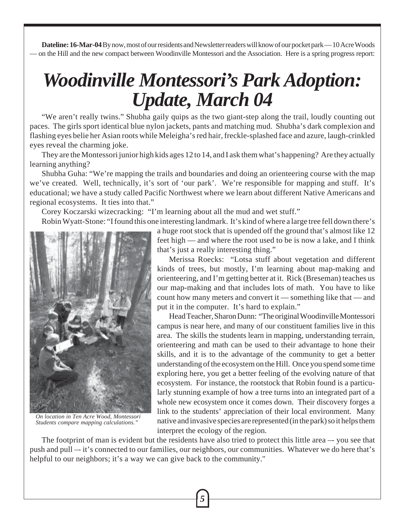**Dateline: 16-Mar-04** By now, most of our residents and Newsletter readers will know of our pocket park — 10 Acre Woods — on the Hill and the new compact between Woodinville Montessori and the Association. Here is a spring progress report:

## *Woodinville Montessori's Park Adoption: Update, March 04*

"We aren't really twins." Shubha gaily quips as the two giant-step along the trail, loudly counting out paces. The girls sport identical blue nylon jackets, pants and matching mud. Shubha's dark complexion and flashing eyes belie her Asian roots while Meleigha's red hair, freckle-splashed face and azure, laugh-crinkled eyes reveal the charming joke.

They are the Montessori junior high kids ages 12 to 14, and I ask them what's happening? Are they actually learning anything?

Shubha Guha: "We're mapping the trails and boundaries and doing an orienteering course with the map we've created. Well, technically, it's sort of 'our park'. We're responsible for mapping and stuff. It's educational; we have a study called Pacific Northwest where we learn about different Native Americans and regional ecosystems. It ties into that."

Corey Koczarski wizecracking: "I'm learning about all the mud and wet stuff."

Robin Wyatt-Stone: "I found this one interesting landmark. It's kind of where a large tree fell down there's



*On location in Ten Acre Wood, Montessori Students compare mapping calculations."*

a huge root stock that is upended off the ground that's almost like 12 feet high — and where the root used to be is now a lake, and I think that's just a really interesting thing."

Merissa Roecks: "Lotsa stuff about vegetation and different kinds of trees, but mostly, I'm learning about map-making and orienteering, and I'm getting better at it. Rick (Breseman) teaches us our map-making and that includes lots of math. You have to like count how many meters and convert it — something like that — and put it in the computer. It's hard to explain."

Head Teacher, Sharon Dunn: "The original Woodinville Montessori campus is near here, and many of our constituent families live in this area. The skills the students learn in mapping, understanding terrain, orienteering and math can be used to their advantage to hone their skills, and it is to the advantage of the community to get a better understanding of the ecosystem on the Hill. Once you spend some time exploring here, you get a better feeling of the evolving nature of that ecosystem. For instance, the rootstock that Robin found is a particularly stunning example of how a tree turns into an integrated part of a whole new ecosystem once it comes down. Their discovery forges a link to the students' appreciation of their local environment. Many native and invasive species are represented (in the park) so it helps them interpret the ecology of the region.

The footprint of man is evident but the residents have also tried to protect this little area –- you see that push and pull –- it's connected to our families, our neighbors, our communities. Whatever we do here that's helpful to our neighbors; it's a way we can give back to the community."

*5*